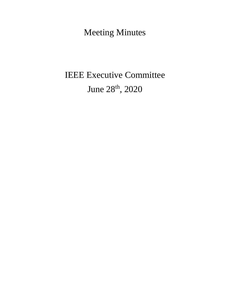Meeting Minutes

# IEEE Executive Committee June 28th, 2020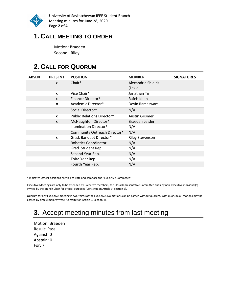

University of Saskatchewan IEEE Student Branch Meeting minutes for June 28, 2020 Page **2** of **4**

### **1. CALL MEETING TO ORDER**

Motion: Braeden Second: Riley

# **2. CALL FOR QUORUM**

| <b>ABSENT</b> | <b>PRESENT</b> | <b>POSITION</b>                   | <b>MEMBER</b>                 | <b>SIGNATURES</b> |
|---------------|----------------|-----------------------------------|-------------------------------|-------------------|
|               | X              | Chair*                            | Alexandria Shields<br>(Lexie) |                   |
|               | X              | Vice Chair*                       | Jonathan Tu                   |                   |
|               | $\mathbf{x}$   | Finance Director*                 | Rafeh Khan                    |                   |
|               | X              | Academic Director*                | Devin Ramaswami               |                   |
|               |                | Social Director*                  | N/A                           |                   |
|               | X              | <b>Public Relations Director*</b> | <b>Austin Grismer</b>         |                   |
|               | X              | McNaughton Director*              | Braeden Leisler               |                   |
|               |                | Illumination Director*            | N/A                           |                   |
|               |                | Community Outreach Director*      | N/A                           |                   |
|               | X              | Grad. Banquet Director*           | <b>Riley Stevenson</b>        |                   |
|               |                | <b>Robotics Coordinator</b>       | N/A                           |                   |
|               |                | Grad. Student Rep.                | N/A                           |                   |
|               |                | Second Year Rep.                  | N/A                           |                   |
|               |                | Third Year Rep.                   | N/A                           |                   |
|               |                | Fourth Year Rep.                  | N/A                           |                   |

\* Indicates Officer positions entitled to vote and compose the "Executive Committee".

Executive Meetings are only to be attended by Executive members, the Class Representative Committee and any non-Executive individual(s) invited by the Branch Chair for official purposes (Constitution Article 9, Section 2).

Quorum for any Executive meeting is two-thirds of the Executive. No motions can be passed without quorum. With quorum, all motions may be passed by simple majority vote (Constitution Article 9, Section 4).

# **3.** Accept meeting minutes from last meeting

Motion: Braeden Result: Pass Against: 0 Abstain: 0 For: 7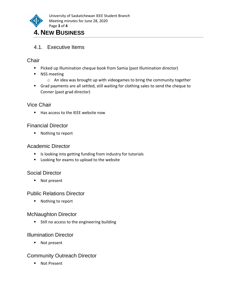

#### 4.1. Executive Items

#### **Chair**

- Picked up Illumination cheque book from Samia (past Illumination director)
- NSS meeting
	- o An idea was brought up with videogames to bring the community together
- Grad payments are all settled, still waiting for clothing sales to send the cheque to Conner (past grad director)

#### Vice Chair

■ Has access to the IEEE website now

#### Financial Director

■ Nothing to report

#### Academic Director

- Is looking into getting funding from industry for tutorials
- Looking for exams to upload to the website

#### Social Director

■ Not present

#### Public Relations Director

■ Nothing to report

#### McNaughton Director

■ Still no access to the engineering building

#### Illumination Director

■ Not present

#### Community Outreach Director

■ Not Present